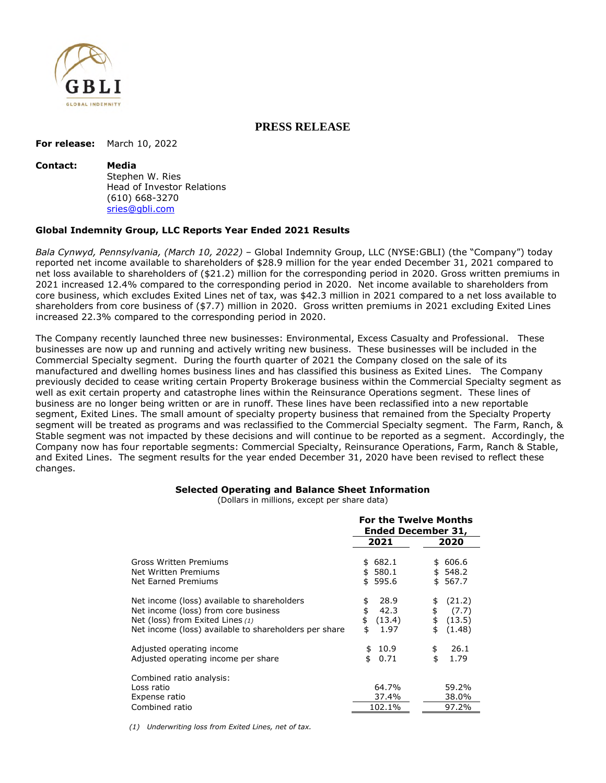

## **PRESS RELEASE**

**For release:** March 10, 2022

#### **Contact: Media**

Stephen W. Ries Head of Investor Relations (610) 668-3270 sries@gbli.com

#### **Global Indemnity Group, LLC Reports Year Ended 2021 Results**

*Bala Cynwyd, Pennsylvania, (March 10, 2022)* – Global Indemnity Group, LLC (NYSE:GBLI) (the "Company") today reported net income available to shareholders of \$28.9 million for the year ended December 31, 2021 compared to net loss available to shareholders of (\$21.2) million for the corresponding period in 2020. Gross written premiums in 2021 increased 12.4% compared to the corresponding period in 2020. Net income available to shareholders from core business, which excludes Exited Lines net of tax, was \$42.3 million in 2021 compared to a net loss available to shareholders from core business of (\$7.7) million in 2020. Gross written premiums in 2021 excluding Exited Lines increased 22.3% compared to the corresponding period in 2020.

The Company recently launched three new businesses: Environmental, Excess Casualty and Professional. These businesses are now up and running and actively writing new business. These businesses will be included in the Commercial Specialty segment. During the fourth quarter of 2021 the Company closed on the sale of its manufactured and dwelling homes business lines and has classified this business as Exited Lines. The Company previously decided to cease writing certain Property Brokerage business within the Commercial Specialty segment as well as exit certain property and catastrophe lines within the Reinsurance Operations segment. These lines of business are no longer being written or are in runoff. These lines have been reclassified into a new reportable segment, Exited Lines. The small amount of specialty property business that remained from the Specialty Property segment will be treated as programs and was reclassified to the Commercial Specialty segment. The Farm, Ranch, & Stable segment was not impacted by these decisions and will continue to be reported as a segment. Accordingly, the Company now has four reportable segments: Commercial Specialty, Reinsurance Operations, Farm, Ranch & Stable, and Exited Lines. The segment results for the year ended December 31, 2020 have been revised to reflect these changes.

#### **Selected Operating and Balance Sheet Information**

(Dollars in millions, except per share data)

|                                                                                                                                                                                  | <b>For the Twelve Months</b><br><b>Ended December 31,</b> |                                                             |  |
|----------------------------------------------------------------------------------------------------------------------------------------------------------------------------------|-----------------------------------------------------------|-------------------------------------------------------------|--|
|                                                                                                                                                                                  | 2021                                                      | 2020                                                        |  |
| Gross Written Premiums<br>Net Written Premiums<br>Net Earned Premiums                                                                                                            | 682.1<br>\$<br>580.1<br>\$<br>595.6<br>\$                 | 606.6<br>\$<br>\$548.2<br>567.7<br>\$                       |  |
| Net income (loss) available to shareholders<br>Net income (loss) from core business<br>Net (loss) from Exited Lines (1)<br>Net income (loss) available to shareholders per share | 28.9<br>\$<br>\$<br>42.3<br>\$<br>(13.4)<br>\$<br>1.97    | (21.2)<br>\$<br>\$<br>(7.7)<br>\$<br>(13.5)<br>(1.48)<br>\$ |  |
| Adjusted operating income<br>Adjusted operating income per share                                                                                                                 | 10.9<br>\$<br>\$<br>0.71                                  | 26.1<br>\$<br>\$<br>1.79                                    |  |
| Combined ratio analysis:<br>Loss ratio<br>Expense ratio<br>Combined ratio                                                                                                        | 64.7%<br>37.4%<br>102.1%                                  | 59.2%<br>38.0%<br>97.2%                                     |  |

*(1) Underwriting loss from Exited Lines, net of tax.*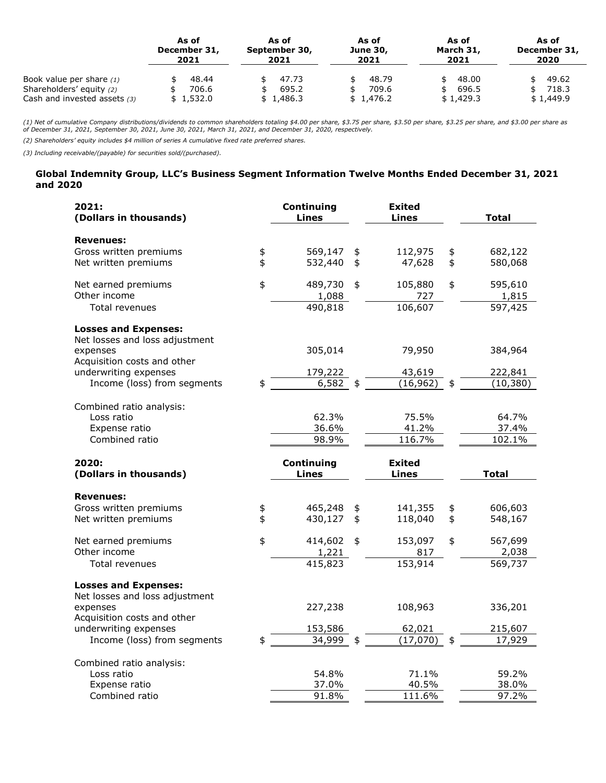|                                                                                        | As of                       | As of                       | As of                       | As of                             | As of                       |
|----------------------------------------------------------------------------------------|-----------------------------|-----------------------------|-----------------------------|-----------------------------------|-----------------------------|
|                                                                                        | December 31,                | September 30,               | <b>June 30,</b>             | March 31,                         | December 31,                |
|                                                                                        | 2021                        | 2021                        | 2021                        | 2021                              | 2020                        |
| Book value per share $(1)$<br>Shareholders' equity (2)<br>Cash and invested assets (3) | 48.44<br>706.6<br>\$1,532.0 | 47.73<br>695.2<br>\$1,486.3 | 48.79<br>709.6<br>\$1,476.2 | 48.00<br>696.5<br>\$<br>\$1,429.3 | 49.62<br>718.3<br>\$1,449.9 |

(1) Net of cumulative Company distributions/dividends to common shareholders totaling \$4.00 per share, \$3.75 per share, \$3.25 per share, and \$3.00 per share as<br>of December 31, 2021, September 30, 2021, June 30, 2021, March

*(2) Shareholders' equity includes \$4 million of series A cumulative fixed rate preferred shares.* 

*(3) Including receivable/(payable) for securities sold/(purchased).*

#### **Global Indemnity Group, LLC's Business Segment Information Twelve Months Ended December 31, 2021 and 2020**

| 2021:<br>(Dollars in thousands)                               |            | Continuing<br>Lines        | <b>Exited</b><br><b>Lines</b> |                         | <b>Total</b>     |
|---------------------------------------------------------------|------------|----------------------------|-------------------------------|-------------------------|------------------|
| <b>Revenues:</b>                                              |            |                            |                               |                         |                  |
| Gross written premiums                                        | \$         | 569,147                    | \$<br>112,975                 | \$                      | 682,122          |
| Net written premiums                                          | \$         | 532,440                    | \$<br>47,628                  | \$                      | 580,068          |
| Net earned premiums                                           | $\ddagger$ | 489,730                    | \$<br>105,880                 | \$                      | 595,610          |
| Other income                                                  |            | 1,088                      | 727                           |                         | 1,815            |
| Total revenues                                                |            | 490,818                    | 106,607                       |                         | 597,425          |
| <b>Losses and Expenses:</b><br>Net losses and loss adjustment |            |                            |                               |                         |                  |
| expenses                                                      |            | 305,014                    | 79,950                        |                         | 384,964          |
| Acquisition costs and other                                   |            |                            |                               |                         |                  |
| underwriting expenses                                         |            | 179,222                    | 43,619                        |                         | 222,841          |
| Income (loss) from segments                                   |            | 6,582                      | (16, 962)                     |                         | (10, 380)        |
| Combined ratio analysis:                                      |            |                            |                               |                         |                  |
| Loss ratio                                                    |            | 62.3%                      | 75.5%                         |                         | 64.7%            |
| Expense ratio                                                 |            | 36.6%                      | 41.2%                         |                         | 37.4%            |
| Combined ratio                                                |            | 98.9%                      | 116.7%                        |                         | 102.1%           |
|                                                               |            |                            |                               |                         |                  |
| 2020:                                                         |            | Continuing<br><b>Lines</b> | <b>Exited</b><br><b>Lines</b> |                         |                  |
| (Dollars in thousands)                                        |            |                            |                               |                         | <b>Total</b>     |
| <b>Revenues:</b>                                              |            |                            |                               |                         |                  |
| Gross written premiums                                        | \$         | 465,248                    | \$<br>141,355                 | \$                      | 606,603          |
| Net written premiums                                          | \$         | 430,127                    | \$<br>118,040                 | $\overline{\mathbf{z}}$ | 548,167          |
|                                                               | \$         |                            | \$                            | \$                      |                  |
| Net earned premiums<br>Other income                           |            | 414,602                    | 153,097                       |                         | 567,699          |
| Total revenues                                                |            | 1,221<br>415,823           | 817<br>153,914                |                         | 2,038<br>569,737 |
| <b>Losses and Expenses:</b>                                   |            |                            |                               |                         |                  |
| Net losses and loss adjustment                                |            |                            |                               |                         |                  |
| expenses<br>Acquisition costs and other                       |            | 227,238                    | 108,963                       |                         | 336,201          |
| underwriting expenses                                         |            | 153,586                    | 62,021                        |                         | 215,607          |
| Income (loss) from segments                                   |            | 34,999                     | \$<br>(17,070)                |                         | 17,929           |
| Combined ratio analysis:                                      |            |                            |                               |                         |                  |
| Loss ratio                                                    |            | 54.8%                      | 71.1%                         |                         | 59.2%            |
| Expense ratio<br>Combined ratio                               |            | 37.0%<br>91.8%             | 40.5%<br>111.6%               |                         | 38.0%<br>97.2%   |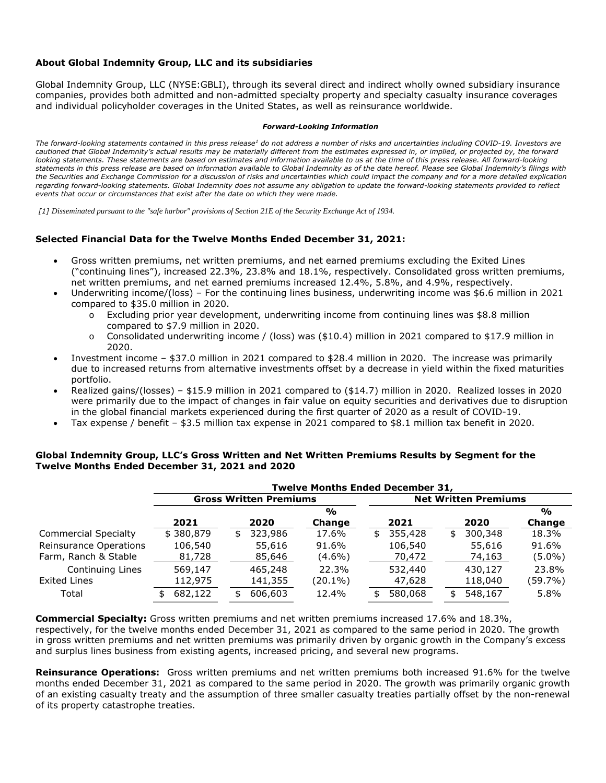### **About Global Indemnity Group, LLC and its subsidiaries**

Global Indemnity Group, LLC (NYSE:GBLI), through its several direct and indirect wholly owned subsidiary insurance companies, provides both admitted and non-admitted specialty property and specialty casualty insurance coverages and individual policyholder coverages in the United States, as well as reinsurance worldwide.

#### *Forward-Looking Information*

The forward-looking statements contained in this press release<sup>1</sup> do not address a number of risks and uncertainties including COVID-19. Investors are *cautioned that Global Indemnity's actual results may be materially different from the estimates expressed in, or implied, or projected by, the forward*  looking statements. These statements are based on estimates and information available to us at the time of this press release. All forward-looking *statements in this press release are based on information available to Global Indemnity as of the date hereof. Please see Global Indemnity's filings with the Securities and Exchange Commission for a discussion of risks and uncertainties which could impact the company and for a more detailed explication regarding forward-looking statements. Global Indemnity does not assume any obligation to update the forward-looking statements provided to reflect events that occur or circumstances that exist after the date on which they were made.* 

*[1] Disseminated pursuant to the "safe harbor" provisions of Section 21E of the Security Exchange Act of 1934.* 

#### **Selected Financial Data for the Twelve Months Ended December 31, 2021:**

- Gross written premiums, net written premiums, and net earned premiums excluding the Exited Lines ("continuing lines"), increased 22.3%, 23.8% and 18.1%, respectively. Consolidated gross written premiums, net written premiums, and net earned premiums increased 12.4%, 5.8%, and 4.9%, respectively.
- Underwriting income/(loss) For the continuing lines business, underwriting income was \$6.6 million in 2021 compared to \$35.0 million in 2020.
	- o Excluding prior year development, underwriting income from continuing lines was \$8.8 million compared to \$7.9 million in 2020.
	- $\circ$  Consolidated underwriting income / (loss) was (\$10.4) million in 2021 compared to \$17.9 million in 2020.
- Investment income \$37.0 million in 2021 compared to \$28.4 million in 2020. The increase was primarily due to increased returns from alternative investments offset by a decrease in yield within the fixed maturities portfolio.
- Realized gains/(losses) \$15.9 million in 2021 compared to (\$14.7) million in 2020. Realized losses in 2020 were primarily due to the impact of changes in fair value on equity securities and derivatives due to disruption in the global financial markets experienced during the first quarter of 2020 as a result of COVID-19.
- Tax expense / benefit \$3.5 million tax expense in 2021 compared to \$8.1 million tax benefit in 2020.

#### **Global Indemnity Group, LLC's Gross Written and Net Written Premiums Results by Segment for the Twelve Months Ended December 31, 2021 and 2020**

|                             | <b>Twelve Months Ended December 31,</b> |    |         |               |                             |         |    |         |               |
|-----------------------------|-----------------------------------------|----|---------|---------------|-----------------------------|---------|----|---------|---------------|
|                             | <b>Gross Written Premiums</b>           |    |         |               | <b>Net Written Premiums</b> |         |    |         |               |
|                             |                                         |    |         | $\frac{1}{2}$ |                             |         |    |         | $\frac{0}{0}$ |
|                             | 2021                                    |    | 2020    | Change        |                             | 2021    |    | 2020    | Change        |
| <b>Commercial Specialty</b> | \$380,879                               | \$ | 323,986 | 17.6%         | \$                          | 355,428 | \$ | 300,348 | 18.3%         |
| Reinsurance Operations      | 106,540                                 |    | 55,616  | 91.6%         |                             | 106,540 |    | 55,616  | 91.6%         |
| Farm, Ranch & Stable        | 81,728                                  |    | 85,646  | (4.6%)        |                             | 70,472  |    | 74,163  | $(5.0\%)$     |
| Continuing Lines            | 569,147                                 |    | 465,248 | 22.3%         |                             | 532,440 |    | 430,127 | 23.8%         |
| Exited Lines                | 112,975                                 |    | 141,355 | (20.1%)       |                             | 47,628  |    | 118,040 | (59.7%)       |
| Total                       | 682,122                                 | ፍ  | 606,603 | 12.4%         | \$                          | 580,068 | \$ | 548,167 | 5.8%          |

**Commercial Specialty:** Gross written premiums and net written premiums increased 17.6% and 18.3%, respectively, for the twelve months ended December 31, 2021 as compared to the same period in 2020. The growth in gross written premiums and net written premiums was primarily driven by organic growth in the Company's excess and surplus lines business from existing agents, increased pricing, and several new programs.

**Reinsurance Operations:** Gross written premiums and net written premiums both increased 91.6% for the twelve months ended December 31, 2021 as compared to the same period in 2020. The growth was primarily organic growth of an existing casualty treaty and the assumption of three smaller casualty treaties partially offset by the non-renewal of its property catastrophe treaties.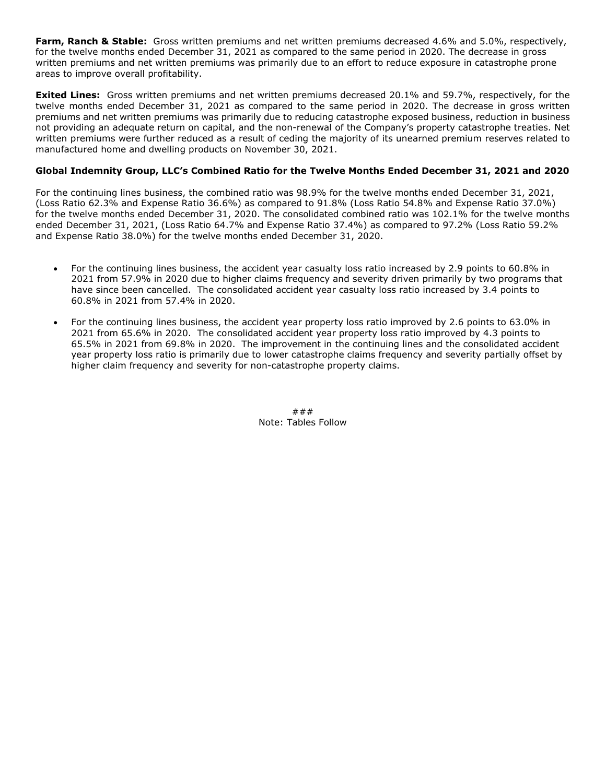**Farm, Ranch & Stable:** Gross written premiums and net written premiums decreased 4.6% and 5.0%, respectively, for the twelve months ended December 31, 2021 as compared to the same period in 2020. The decrease in gross written premiums and net written premiums was primarily due to an effort to reduce exposure in catastrophe prone areas to improve overall profitability.

**Exited Lines:** Gross written premiums and net written premiums decreased 20.1% and 59.7%, respectively, for the twelve months ended December 31, 2021 as compared to the same period in 2020. The decrease in gross written premiums and net written premiums was primarily due to reducing catastrophe exposed business, reduction in business not providing an adequate return on capital, and the non-renewal of the Company's property catastrophe treaties. Net written premiums were further reduced as a result of ceding the majority of its unearned premium reserves related to manufactured home and dwelling products on November 30, 2021.

### **Global Indemnity Group, LLC's Combined Ratio for the Twelve Months Ended December 31, 2021 and 2020**

For the continuing lines business, the combined ratio was 98.9% for the twelve months ended December 31, 2021, (Loss Ratio 62.3% and Expense Ratio 36.6%) as compared to 91.8% (Loss Ratio 54.8% and Expense Ratio 37.0%) for the twelve months ended December 31, 2020. The consolidated combined ratio was 102.1% for the twelve months ended December 31, 2021, (Loss Ratio 64.7% and Expense Ratio 37.4%) as compared to 97.2% (Loss Ratio 59.2% and Expense Ratio 38.0%) for the twelve months ended December 31, 2020.

- For the continuing lines business, the accident year casualty loss ratio increased by 2.9 points to 60.8% in 2021 from 57.9% in 2020 due to higher claims frequency and severity driven primarily by two programs that have since been cancelled. The consolidated accident year casualty loss ratio increased by 3.4 points to 60.8% in 2021 from 57.4% in 2020.
- For the continuing lines business, the accident year property loss ratio improved by 2.6 points to 63.0% in 2021 from 65.6% in 2020. The consolidated accident year property loss ratio improved by 4.3 points to 65.5% in 2021 from 69.8% in 2020. The improvement in the continuing lines and the consolidated accident year property loss ratio is primarily due to lower catastrophe claims frequency and severity partially offset by higher claim frequency and severity for non-catastrophe property claims.

### Note: Tables Follow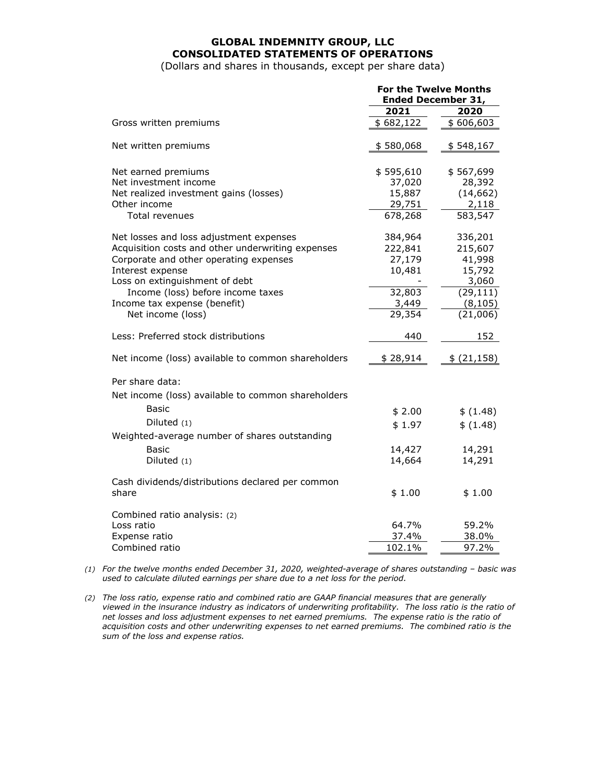# **GLOBAL INDEMNITY GROUP, LLC CONSOLIDATED STATEMENTS OF OPERATIONS**

(Dollars and shares in thousands, except per share data)

|                                                    | <b>For the Twelve Months</b><br><b>Ended December 31,</b> |            |  |
|----------------------------------------------------|-----------------------------------------------------------|------------|--|
|                                                    | 2021                                                      | 2020       |  |
| Gross written premiums                             | \$682,122                                                 | \$606,603  |  |
| Net written premiums                               | \$580,068                                                 | \$548,167  |  |
| Net earned premiums                                | \$595,610                                                 | \$567,699  |  |
| Net investment income                              | 37,020                                                    | 28,392     |  |
| Net realized investment gains (losses)             | 15,887                                                    | (14, 662)  |  |
| Other income                                       | 29,751                                                    | 2,118      |  |
| Total revenues                                     | 678,268                                                   | 583,547    |  |
| Net losses and loss adjustment expenses            | 384,964                                                   | 336,201    |  |
| Acquisition costs and other underwriting expenses  | 222,841                                                   | 215,607    |  |
| Corporate and other operating expenses             | 27,179                                                    | 41,998     |  |
| Interest expense                                   | 10,481                                                    | 15,792     |  |
| Loss on extinguishment of debt                     |                                                           | 3,060      |  |
| Income (loss) before income taxes                  | 32,803                                                    | (29, 111)  |  |
| Income tax expense (benefit)                       | 3,449                                                     | (8, 105)   |  |
| Net income (loss)                                  | 29,354                                                    | (21,006)   |  |
| Less: Preferred stock distributions                | 440                                                       | 152        |  |
| Net income (loss) available to common shareholders | \$28,914                                                  | \$(21,158) |  |
| Per share data:                                    |                                                           |            |  |
| Net income (loss) available to common shareholders |                                                           |            |  |
| Basic                                              | \$2.00                                                    | \$(1.48)   |  |
| Diluted $(1)$                                      | \$1.97                                                    | \$ (1.48)  |  |
| Weighted-average number of shares outstanding      |                                                           |            |  |
| <b>Basic</b>                                       | 14,427                                                    | 14,291     |  |
| Diluted $(1)$                                      | 14,664                                                    | 14,291     |  |
| Cash dividends/distributions declared per common   |                                                           |            |  |
| share                                              | \$1.00                                                    | \$1.00     |  |
| Combined ratio analysis: (2)                       |                                                           |            |  |
| Loss ratio                                         | 64.7%                                                     | 59.2%      |  |
| Expense ratio                                      | 37.4%                                                     | 38.0%      |  |
| Combined ratio                                     | 102.1%                                                    | 97.2%      |  |

*(1) For the twelve months ended December 31, 2020, weighted-average of shares outstanding – basic was used to calculate diluted earnings per share due to a net loss for the period.* 

*(2) The loss ratio, expense ratio and combined ratio are GAAP financial measures that are generally viewed in the insurance industry as indicators of underwriting profitability. The loss ratio is the ratio of net losses and loss adjustment expenses to net earned premiums. The expense ratio is the ratio of acquisition costs and other underwriting expenses to net earned premiums. The combined ratio is the sum of the loss and expense ratios.*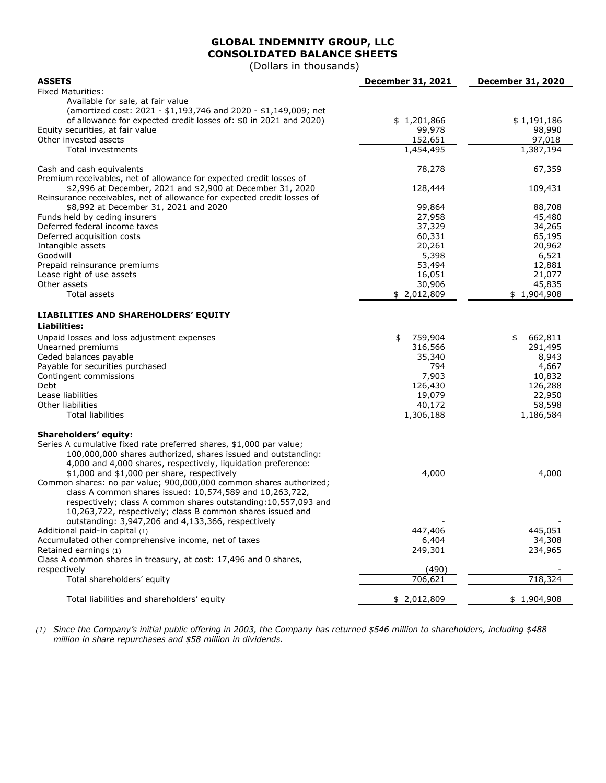# **GLOBAL INDEMNITY GROUP, LLC CONSOLIDATED BALANCE SHEETS**

(Dollars in thousands)

| <b>ASSETS</b>                                                                                                               | December 31, 2021         | <b>December 31, 2020</b> |
|-----------------------------------------------------------------------------------------------------------------------------|---------------------------|--------------------------|
| <b>Fixed Maturities:</b>                                                                                                    |                           |                          |
| Available for sale, at fair value                                                                                           |                           |                          |
| (amortized cost: 2021 - \$1,193,746 and 2020 - \$1,149,009; net                                                             |                           |                          |
| of allowance for expected credit losses of: \$0 in 2021 and 2020)                                                           | \$1,201,866               | \$1,191,186              |
| Equity securities, at fair value                                                                                            | 99,978                    | 98,990                   |
| Other invested assets                                                                                                       | 152,651                   | 97,018                   |
| Total investments                                                                                                           | 1,454,495                 | 1,387,194                |
| Cash and cash equivalents                                                                                                   | 78,278                    | 67,359                   |
| Premium receivables, net of allowance for expected credit losses of                                                         |                           |                          |
| \$2,996 at December, 2021 and \$2,900 at December 31, 2020                                                                  | 128,444                   | 109,431                  |
| Reinsurance receivables, net of allowance for expected credit losses of                                                     |                           |                          |
| \$8,992 at December 31, 2021 and 2020                                                                                       | 99,864                    | 88,708                   |
| Funds held by ceding insurers                                                                                               | 27,958                    | 45,480                   |
| Deferred federal income taxes                                                                                               | 37,329                    | 34,265                   |
| Deferred acquisition costs                                                                                                  | 60,331                    | 65,195                   |
| Intangible assets                                                                                                           | 20,261                    | 20,962                   |
| Goodwill                                                                                                                    | 5,398                     | 6,521                    |
| Prepaid reinsurance premiums                                                                                                | 53,494                    | 12,881                   |
| Lease right of use assets                                                                                                   | 16,051                    | 21,077                   |
| Other assets                                                                                                                | 30,906                    | 45,835                   |
| Total assets                                                                                                                | $\overline{\$}$ 2,012,809 | \$1,904,908              |
| LIABILITIES AND SHAREHOLDERS' EQUITY                                                                                        |                           |                          |
| <b>Liabilities:</b>                                                                                                         |                           |                          |
| Unpaid losses and loss adjustment expenses                                                                                  | 759,904<br>\$             | 662,811<br>\$            |
| Unearned premiums                                                                                                           | 316,566                   | 291,495                  |
| Ceded balances payable                                                                                                      | 35,340                    | 8,943                    |
| Payable for securities purchased                                                                                            | 794                       | 4,667                    |
| Contingent commissions                                                                                                      | 7,903                     | 10,832                   |
| Debt                                                                                                                        | 126,430                   | 126,288                  |
| Lease liabilities                                                                                                           | 19,079                    | 22,950                   |
| Other liabilities                                                                                                           | 40,172                    | 58,598                   |
| <b>Total liabilities</b>                                                                                                    | 1,306,188                 | 1,186,584                |
|                                                                                                                             |                           |                          |
| Shareholders' equity:                                                                                                       |                           |                          |
| Series A cumulative fixed rate preferred shares, \$1,000 par value;                                                         |                           |                          |
| 100,000,000 shares authorized, shares issued and outstanding:                                                               |                           |                          |
| 4,000 and 4,000 shares, respectively, liquidation preference:                                                               |                           |                          |
| \$1,000 and \$1,000 per share, respectively                                                                                 | 4,000                     | 4,000                    |
| Common shares: no par value; 900,000,000 common shares authorized;                                                          |                           |                          |
| class A common shares issued: 10,574,589 and 10,263,722,<br>respectively; class A common shares outstanding: 10,557,093 and |                           |                          |
|                                                                                                                             |                           |                          |
| 10,263,722, respectively; class B common shares issued and<br>outstanding: 3,947,206 and 4,133,366, respectively            |                           |                          |
| Additional paid-in capital (1)                                                                                              | 447,406                   | 445,051                  |
| Accumulated other comprehensive income, net of taxes                                                                        |                           | 34,308                   |
| Retained earnings (1)                                                                                                       | 6,404<br>249,301          | 234,965                  |
| Class A common shares in treasury, at cost: 17,496 and 0 shares,                                                            |                           |                          |
| respectively                                                                                                                | (490)                     |                          |
| Total shareholders' equity                                                                                                  | 706,621                   | 718,324                  |
|                                                                                                                             |                           |                          |
| Total liabilities and shareholders' equity                                                                                  | \$2,012,809               | \$1,904,908              |

*(1) Since the Company's initial public offering in 2003, the Company has returned \$546 million to shareholders, including \$488 million in share repurchases and \$58 million in dividends.*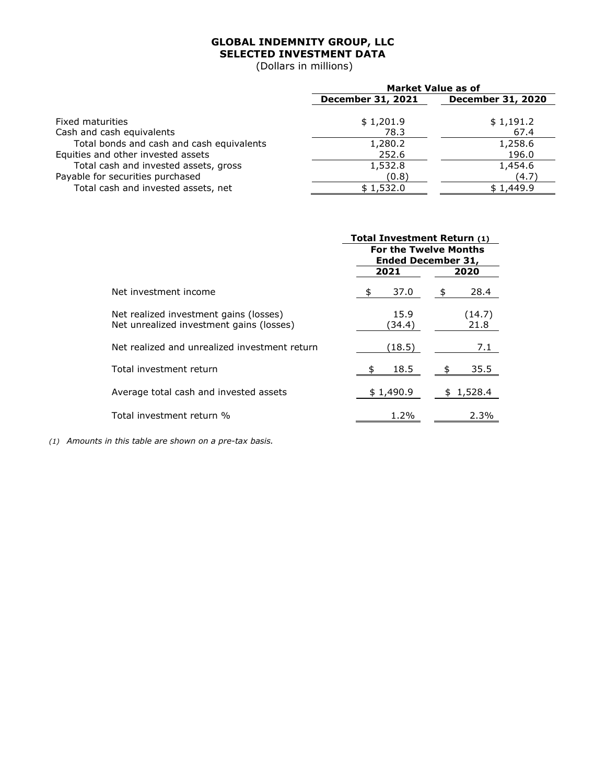# **GLOBAL INDEMNITY GROUP, LLC SELECTED INVESTMENT DATA**

(Dollars in millions)

|                                           | <b>Market Value as of</b> |                          |  |
|-------------------------------------------|---------------------------|--------------------------|--|
|                                           | <b>December 31, 2021</b>  | <b>December 31, 2020</b> |  |
|                                           |                           |                          |  |
| Fixed maturities                          | \$1,201.9                 | \$1,191.2                |  |
| Cash and cash equivalents                 | 78.3                      | 67.4                     |  |
| Total bonds and cash and cash equivalents | 1,280.2                   | 1,258.6                  |  |
| Equities and other invested assets        | 252.6                     | 196.0                    |  |
| Total cash and invested assets, gross     | 1,532.8                   | 1,454.6                  |  |
| Payable for securities purchased          | (0.8)                     | (4.7)                    |  |
| Total cash and invested assets, net       | \$1,532.0                 | \$1,449.9                |  |

|                                                                                    | Total Investment Return (1)                               |                |  |  |
|------------------------------------------------------------------------------------|-----------------------------------------------------------|----------------|--|--|
|                                                                                    | <b>For the Twelve Months</b><br><b>Ended December 31,</b> |                |  |  |
|                                                                                    | 2021                                                      | 2020           |  |  |
| Net investment income                                                              | 37.0                                                      | 28.4           |  |  |
| Net realized investment gains (losses)<br>Net unrealized investment gains (losses) | 15.9<br>(34.4)                                            | (14.7)<br>21.8 |  |  |
| Net realized and unrealized investment return                                      | (18.5)                                                    | 7.1            |  |  |
| Total investment return                                                            | 18.5<br>\$                                                | 35.5           |  |  |
| Average total cash and invested assets                                             | \$1,490.9                                                 | 1,528.4        |  |  |
| Total investment return %                                                          | 1.2%                                                      | 2.3%           |  |  |

*(1) Amounts in this table are shown on a pre-tax basis.*